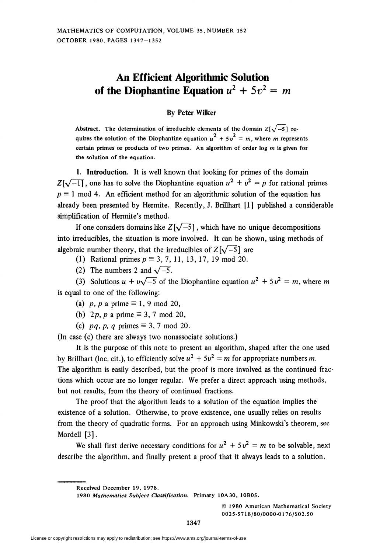## An Efficient Algorithmic Solution of the Diophantine Equation  $u^2 + 5v^2 = m$

## By Peter Wilker

Abstract. The determination of irreducible elements of the domain  $Z[\sqrt{-5}]$  requires the solution of the Diophantine equation  $u^2 + 5v^2 = m$ , where m represent certain primes or products of two primes. An algorithm of order log  $m$  is given for the solution of the equation.

1. Introduction. It is well known that looking for primes of the domain  $Z[\sqrt{-1}]$ , one has to solve the Diophantine equation  $u^2 + v^2 = p$  for rational primes  $p \equiv 1$  mod 4. An efficient method for an algorithmic solution of the equation has already been presented by Hermite. Recently, J. Brillhart [1] published a considerable simplification of Hermite's method.

If one considers domains like  $Z[\sqrt{-5}]$ , which have no unique decompositions into irreducibles, the situation is more involved. It can be shown, using methods of algebraic number theory, that the irreducibles of  $Z[\sqrt{-5}]$  are

- (1) Rational primes  $p \equiv 3, 7, 11, 13, 17, 19 \text{ mod } 20$ .
- (2) The numbers 2 and  $\sqrt{-5}$ .

(3) Solutions  $u + v\sqrt{-5}$  of the Diophantine equation  $u^2 + 5v^2 = m$ , where m is equal to one of the following:

- (a) p, p a prime  $\equiv$  1, 9 mod 20,
- (b) 2p, p a prime  $\equiv 3, 7 \mod 20$ ,
- (c) pq, p, q primes  $\equiv$  3, 7 mod 20.

(In case (c) there are always two nonassociate solutions.)

It is the purpose of this note to present an algorithm, shaped after the one used by Brillhart (loc. cit.), to efficiently solve  $u^2 + 5v^2 = m$  for appropriate numbers m. The algorithm is easily described, but the proof is more involved as the continued fractions which occur are no longer regular. We prefer a direct approach using methods, but not results, from the theory of continued fractions.

The proof that the algorithm leads to a solution of the equation implies the existence of a solution. Otherwise, to prove existence, one usually relies on results from the theory of quadratic forms. For an approach using Minkowski's theorem, see Mordell [3].

We shall first derive necessary conditions for  $u^2 + 5v^2 = m$  to be solvable, next describe the algorithm, and finally present a proof that it always leads to a solution.

1980 Mathematics Subject Classification. Primary 10A3O, 10BOS.

© 1980 American Mathematical Society 002 5-571 8/80/0000-0176/\$02.50

Received December 19, 1978.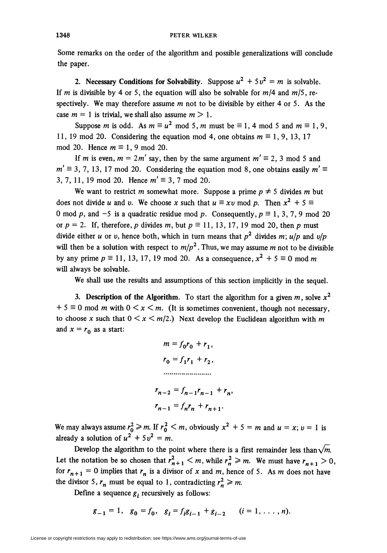Some remarks on the order of the algorithm and possible generalizations will conclude the paper.

2. Necessary Conditions for Solvability. Suppose  $u^2 + 5v^2 = m$  is solvable. If m is divisible by 4 or 5, the equation will also be solvable for  $m/4$  and  $m/5$ , respectively. We may therefore assume  $m$  not to be divisible by either 4 or 5. As the case  $m = 1$  is trivial, we shall also assume  $m > 1$ .

Suppose *m* is odd. As  $m \equiv u^2 \mod 5$ , *m* must be  $\equiv 1$ , 4 mod 5 and  $m \equiv 1, 9$ , 11, 19 mod 20. Considering the equation mod 4, one obtains  $m \equiv 1, 9, 13, 17$ mod 20. Hence  $m \equiv 1, 9 \text{ mod } 20$ .

If m is even,  $m = 2m'$  say, then by the same argument  $m' \equiv 2, 3 \mod 5$  and  $m' \equiv 3, 7, 13, 17 \text{ mod } 20$ . Considering the equation mod 8, one obtains easily  $m' \equiv$ 3, 7, 11, 19 mod 20. Hence  $m' \equiv 3, 7 \text{ mod } 20$ .

We want to restrict m somewhat more. Suppose a prime  $p \neq 5$  divides m but does not divide u and v. We choose x such that  $u \equiv xv \mod p$ . Then  $x^2 + 5 \equiv$ 0 mod p, and -5 is a quadratic residue mod p. Consequently,  $p \equiv 1, 3, 7, 9 \text{ mod } 20$ or  $p = 2$ . If, therefore, p divides m, but  $p \equiv 11, 13, 17, 19 \text{ mod } 20$ , then p must divide either u or v, hence both, which in turn means that  $p^2$  divides m; u/p and v/p will then be a solution with respect to  $m/p^2$ . Thus, we may assume m not to be divisible by any prime  $p \equiv 11, 13, 17, 19 \text{ mod } 20$ . As a consequence,  $x^2 + 5 \equiv 0 \text{ mod } m$ will always be solvable.

We shall use the results and assumptions of this section implicitly in the sequel.

3. Description of the Algorithm. To start the algorithm for a given m, solve  $x^2$  $+ 5 \equiv 0 \text{ mod } m$  with  $0 \le x \le m$ . (It is sometimes convenient, though not necessary, to choose x such that  $0 \le x \le m/2$ .) Next develop the Euclidean algorithm with m and  $x = r_0$  as a start:

$$
m = f_0 r_0 + r_1,
$$
  
\n
$$
r_0 = f_1 r_1 + r_2,
$$
  
\n
$$
r_{n-2} = f_{n-1} r_{n-1} + r_n,
$$
  
\n
$$
r_{n-1} = f_n r_n + r_{n+1}.
$$

We may always assume  $r_0^2 \ge m$ . If  $r_0^2 \le m$ , obviously  $x^2 + 5 = m$  and  $u = x$ ;  $v = 1$  is already a solution of  $u^2 + 5v^2 = m$ .

Develop the algorithm to the point where there is a first remainder less than  $\sqrt{m}$ . Let the notation be so chosen that  $r_{n+1}^2 < m$ , while  $r_n^2 \ge m$ . We must have  $r_{n+1} > 0$ , for  $r_{n+1} = 0$  implies that  $r_n$  is a divisor of x and m, hence of 5. As m does not have the divisor 5,  $r_n$  must be equal to 1, contradicting  $r_n^2 \ge m$ .

Define a sequence  $g_i$  recursively as follows:

$$
g_{-1} = 1
$$
,  $g_0 = f_0$ ,  $g_i = f_i g_{i-1} + g_{i-2}$   $(i = 1, ..., n)$ .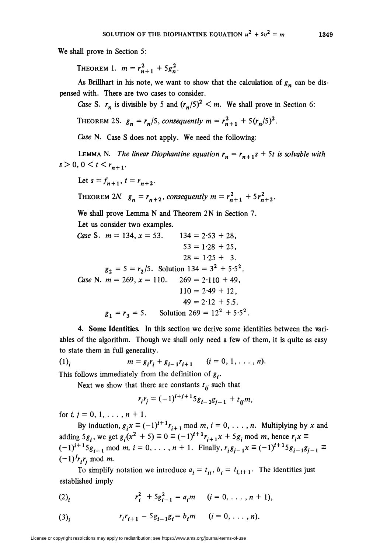We shall prove in Section 5:

THEOREM 1.  $m = r_{n+1}^2 + 5g_n^2$ .

As Brillhart in his note, we want to show that the calculation of  $g_n$  can be dispensed with. There are two cases to consider.

Case S.  $r_n$  is divisible by 5 and  $(r_n/5)^2 \le m$ . We shall prove in Section 6:

THEOREM 2S.  $g_n = r_n/5$ , consequently  $m = r_{n+1}^2 + 5(r_n/5)^2$ .

Case N. Case S does not apply. We need the following:

LEMMA N. The linear Diophantine equation  $r_n = r_{n+1}s + 5t$  is solvable with  $s > 0$ ,  $0 < t < r_{n+1}$ .

Let  $s = f_{n+1}$ ,  $t = r_{n+2}$ .

THEOREM 2N. 
$$
g_n = r_{n+2}
$$
, consequently  $m = r_{n+1}^2 + 5r_{n+2}^2$ .

We shall prove Lemma N and Theorem 2N in Section 7.

Let us consider two examples.

Case S.  $m = 134$ ,  $x = 53$ .  $134 = 2.53 + 28$ ,  $53 = 1.28 + 25$ ,  $28 = 1.25 + 3.$  $g_2 = 5 = r_2/5$ . Solution 134 =  $3^2 + 5.5^2$ . Case N.  $m = 269$ ,  $x = 110$ .  $269 = 2.110 + 49$ ,  $110 = 2.49 + 12$  $49 = 2.12 + 5.5$ .  $g_1 = r_3 = 5.$  Solution 269 = 12<sup>2</sup> + 5.5<sup>2</sup>.

4. Some Identities. In this section we derive some identities between the variables of the algorithm. Though we shall only need a few of them, it is quite as easy to state them in full generality.

(1)<sub>i</sub>  $m = g_i r_i + g_{i-1} r_{i+1}$   $(i = 0, 1, ..., n).$ This follows immediately from the definition of  $g_i$ .

Next we show that there are constants  $t_{ii}$  such that

$$
r_i r_j = (-1)^{i+j+1} 5g_{i-1} g_{j-1} + t_{ij} m,
$$

for  $i, j = 0, 1, \ldots, n + 1$ .

By induction,  $g_i x \equiv (-1)^{i+1}r_{i+1}$  mod  $m, i = 0, \ldots, n$ . Multiplying by x and adding  $5g_i$ , we get  $g_i(x^2 + 5) \equiv 0 \equiv (-1)^{i+1}r_{i+1}x + 5g_i \mod m$ , hence  $r_ix \equiv$  $i(-1)^{i+1}5g_{i-1}$  mod m,  $i = 0, \ldots, n + 1$ . Finally,  $r_i g_{i-1}x \equiv (-1)^{i+1}5g_{i-1}g_{i-1}$  $(-1)^{j}r_{i}r_{j}$  mod *m*.

To simplify notation we introduce  $a_i = t_{ii}, b_i = t_{i,i+1}$ . The identities just established imply

(2)<sub>i</sub> 
$$
r_i^2 + 5g_{i-1}^2 = a_i m
$$
  $(i = 0, ..., n + 1),$ 

(3)<sub>i</sub> 
$$
r_i r_{i+1} - 5g_{i-1}g_i = b_i m \qquad (i = 0, \ldots, n).
$$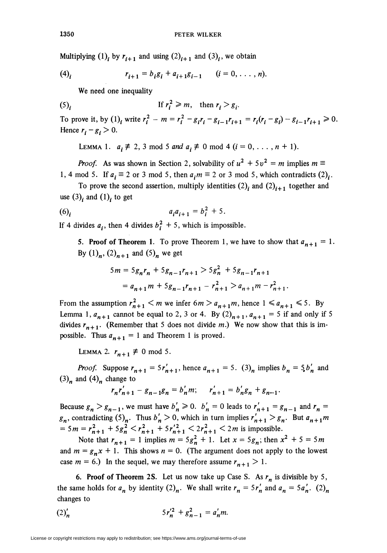Multiplying  $(1)$ , by  $r_{i+1}$  and using  $(2)_{i+1}$  and  $(3)$ , we obtain

(4)<sub>i</sub> 
$$
r_{i+1} = b_i g_i + a_{i+1} g_{i-1}
$$
  $(i = 0, ..., n)$ .

We need one inequality

$$
(5)_i \t\t\t \text{If } r_i^2 \geq m, \text{ then } r_i > g_i.
$$

To prove it, by (1), write  $r_i^2 - m = r_i^2 - g_i r_i - g_{i-1} r_{i+1} = r_i (r_i - g_i) - g_{i-1} r_{i+1} \ge 0$ . Hence  $r_i - g_i > 0$ .

LEMMA 1.  $a_i \neq 2, 3 \mod 5$  and  $a_i \neq 0 \mod 4$   $(i = 0, \ldots, n + 1)$ .

*Proof.* As was shown in Section 2, solvability of  $u^2 + 5v^2 = m$  implies  $m \equiv$ 1, 4 mod 5. If  $a_i \equiv 2$  or 3 mod 5, then  $a_i m \equiv 2$  or 3 mod 5, which contradicts  $(2)_i$ .

To prove the second assertion, multiply identities  $(2)$ <sub>i</sub> and  $(2)$ <sub>i+1</sub> together and use  $(3)$ <sub>i</sub> and  $(1)$ <sub>i</sub> to get

$$
(6)i \t aiai+1 = bi2 + 5.
$$

If 4 divides  $a_i$ , then 4 divides  $b_i^2 + 5$ , which is impossible.

5. Proof of Theorem 1. To prove Theorem 1, we have to show that  $a_{n+1} = 1$ . By  $(1)_n$ ,  $(2)_{n+1}$  and  $(5)_n$  we get

$$
5m = 5g_n r_n + 5g_{n-1} r_{n+1} > 5g_n^2 + 5g_{n-1} r_{n+1}
$$
  
=  $a_{n+1} m + 5g_{n-1} r_{n+1} - r_{n+1}^2 > a_{n+1} m - r_{n+1}^2$ .

From the assumption  $r_{n+1}^2 < m$  we infer  $6m > a_{n+1}m$ , hence  $1 \le a_{n+1} \le 5$ . By Lemma 1,  $a_{n+1}$  cannot be equal to 2, 3 or 4. By  $(2)_{n+1}$ ,  $a_{n+1} = 5$  if and only if 5 divides  $r_{n+1}$ . (Remember that 5 does not divide m.) We now show that this is impossible. Thus  $a_{n+1} = 1$  and Theorem 1 is proved.

LEMMA 2.  $r_{n+1} \not\equiv 0 \mod 5$ .

*Proof.* Suppose  $r_{n+1} = 5r'_{n+1}$ , hence  $a_{n+1} = 5$ . (3)<sub>n</sub> implies  $b_n = 5b'_n$  and  $(3)<sub>n</sub>$  and  $(4)<sub>n</sub>$  change to

$$
r_n r'_{n+1} - g_{n-1} g_n = b'_n m; \qquad r'_{n+1} = b'_n g_n + g_{n-1}.
$$

Because  $g_n > g_{n-1}$ , we must have  $b'_n \ge 0$ .  $b'_n = 0$  leads to  $r'_{n+1} = g_{n-1}$  and  $r_n =$  $g_n$ , contradicting  $(5)_n$ . Thus  $b'_n > 0$ , which in turn implies  $r'_{n+1} > g_n$ . But  $a_{n+1}m$  $= 5m = r_{n+1}^2 + 5g_n^2 < r_{n+1}^2 + 5r_{n+1}'^2 < 2r_{n+1}^2 < 2m$  is impossible.

Note that  $r_{n+1} = 1$  implies  $m = 5g_n^2 + 1$ . Let  $x = 5g_n$ ; then  $x^2 + 5 = 5m$ and  $m = g_n x + 1$ . This shows  $n = 0$ . (The argument does not apply to the lowest case  $m = 6$ .) In the sequel, we may therefore assume  $r_{n+1} > 1$ .

6. Proof of Theorem 2S. Let us now take up Case S. As  $r_n$  is divisible by 5, the same holds for  $a_n$  by identity  $(2)_n$ . We shall write  $r_n = 5r'_n$  and  $a_n = 5a'_n$ .  $(2)_n$ changes to

$$
(2)'_n \t\t 5r_n'^2 + g_{n-1}^2 = a'_n m.
$$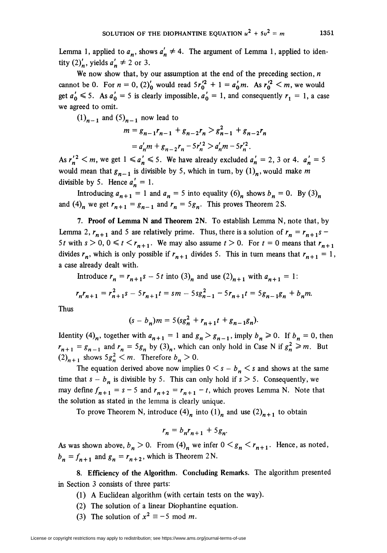Lemma 1, applied to  $a_n$ , shows  $a'_n \neq 4$ . The argument of Lemma 1, applied to identity  $(2)'_n$ , yields  $a'_n \neq 2$  or 3.

We now show that, by our assumption at the end of the preceding section,  $n$ cannot be 0. For  $n = 0$ ,  $(2)'_0$  would read  $5r_0'^2 + 1 = a'_0 m$ . As  $r_0'^2 \le m$ , we would get  $a'_0 \le 5$ . As  $a'_0 = 5$  is clearly impossible,  $a'_0 = 1$ , and consequently  $r_1 = 1$ , a case we agreed to omit.

 $(1)_{n-1}$  and  $(5)_{n-1}$  now lead to

$$
m = g_{n-1}r_{n-1} + g_{n-2}r_n > g_{n-1}^2 + g_{n-2}r_n
$$
  
=  $a'_nm + g_{n-2}r_n - 5r'_n > a'_nm - 5r'_n$ .

As  $r_n'^2 < m$ , we get  $1 \leq a'_n \leq 5$ . We have already excluded  $a'_n = 2$ , 3 or 4.  $a'_n = 5$ would mean that  $g_{n-1}$  is divisible by 5, which in turn, by  $(1)_n$ , would make m divisible by 5. Hence  $a'_n = 1$ .

Introducing  $a_{n+1} = 1$  and  $a_n = 5$  into equality  $(6)_n$  shows  $b_n = 0$ . By  $(3)_n$ and (4)<sub>n</sub> we get  $r_{n+1} = g_{n-1}$  and  $r_n = 5g_n$ . This proves Theorem 2S.

7. Proof of Lemma N and Theorem 2N. To establish Lemma N, note that, by Lemma 2,  $r_{n+1}$  and 5 are relatively prime. Thus, there is a solution of  $r_n = r_{n+1}s$ 5t with  $s > 0$ ,  $0 \le t \le r_{n+1}$ . We may also assume  $t > 0$ . For  $t = 0$  means that  $r_{n+1}$ divides  $r_n$ , which is only possible if  $r_{n+1}$  divides 5. This in turn means that  $r_{n+1} = 1$ , a case already dealt with.

Introduce  $r_n = r_{n+1} s - 5t$  into  $(3)_n$  and use  $(2)_{n+1}$  with  $a_{n+1} = 1$ :

$$
r_n r_{n+1} = r_{n+1}^2 s - 5r_{n+1} t = sm - 5s g_{n-1}^2 - 5r_{n+1} t = 5g_{n-1} g_n + b_n m.
$$

Thus

$$
(s - b_n)m = 5(sg_n^2 + r_{n+1}t + g_{n-1}g_n).
$$

Identity  $(4)_n$ , together with  $a_{n+1} = 1$  and  $g_n > g_{n-1}$ , imply  $b_n \ge 0$ . If  $b_n = 0$ , then  $r_{n+1} = g_{n-1}$  and  $r_n = 5g_n$  by  $(3)_n$ , which can only hold in Case N if  $g_n^2 \ge m$ . But  $(2)<sub>n+1</sub>$  shows  $5g_n^2 < m$ . Therefore  $b_n > 0$ .

The equation derived above now implies  $0 \lt s - b_n \lt s$  and shows at the same time that  $s - b_n$  is divisible by 5. This can only hold if  $s > 5$ . Consequently, we may define  $f_{n+1} = s - 5$  and  $r_{n+2} = r_{n+1} - t$ , which proves Lemma N. Note that the solution as stated in the lemma is clearly unique.

To prove Theorem N, introduce  $(4)_n$  into  $(1)_n$  and use  $(2)_{n+1}$  to obtain

$$
r_n = b_n r_{n+1} + 5g_n.
$$

As was shown above,  $b_n > 0$ . From  $(4)_n$  we infer  $0 \lt g_n \lt r_{n+1}$ . Hence, as noted,  $b_n = f_{n+1}$  and  $g_n = r_{n+2}$ , which is Theorem 2N.

8. Efficiency of the Algorithm. Concluding Remarks. The algorithm presented in Section 3 consists of three parts:

- (1) A Euclidean algorithm (with certain tests on the way).
- (2) The solution of a linear Diophantine equation.
- (3) The solution of  $x^2 \equiv -5 \mod m$ .